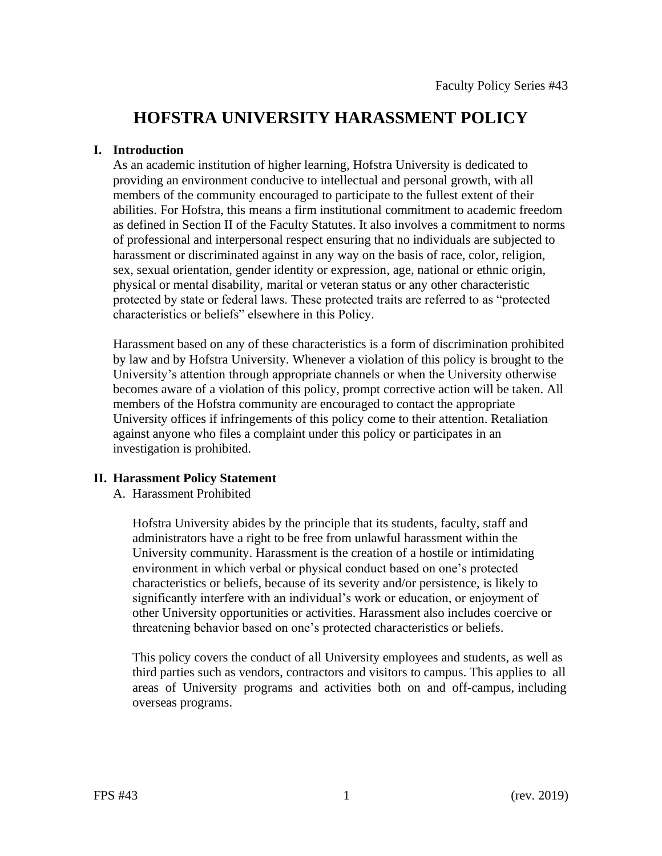# **HOFSTRA UNIVERSITY HARASSMENT POLICY**

### **I. Introduction**

As an academic institution of higher learning, Hofstra University is dedicated to providing an environment conducive to intellectual and personal growth, with all members of the community encouraged to participate to the fullest extent of their abilities. For Hofstra, this means a firm institutional commitment to academic freedom as defined in Section II of the Faculty Statutes. It also involves a commitment to norms of professional and interpersonal respect ensuring that no individuals are subjected to harassment or discriminated against in any way on the basis of race, color, religion, sex, sexual orientation, gender identity or expression, age, national or ethnic origin, physical or mental disability, marital or veteran status or any other characteristic protected by state or federal laws. These protected traits are referred to as "protected characteristics or beliefs" elsewhere in this Policy.

 members of the Hofstra community are encouraged to contact the appropriate Harassment based on any of these characteristics is a form of discrimination prohibited by law and by Hofstra University. Whenever a violation of this policy is brought to the University's attention through appropriate channels or when the University otherwise becomes aware of a violation of this policy, prompt corrective action will be taken. All University offices if infringements of this policy come to their attention. Retaliation against anyone who files a complaint under this policy or participates in an investigation is prohibited.

# **II. Harassment Policy Statement**

A. Harassment Prohibited

 Hofstra University abides by the principle that its students, faculty, staff and administrators have a right to be free from unlawful harassment within the University community. Harassment is the creation of a hostile or intimidating environment in which verbal or physical conduct based on one's protected characteristics or beliefs, because of its severity and/or persistence, is likely to significantly interfere with an individual's work or education, or enjoyment of other University opportunities or activities. Harassment also includes coercive or threatening behavior based on one's protected characteristics or beliefs.

third parties such as vendors, contractors and visitors to campus. This applies to all This policy covers the conduct of all University employees and students, as well as areas of University programs and activities both on and off-campus, including overseas programs.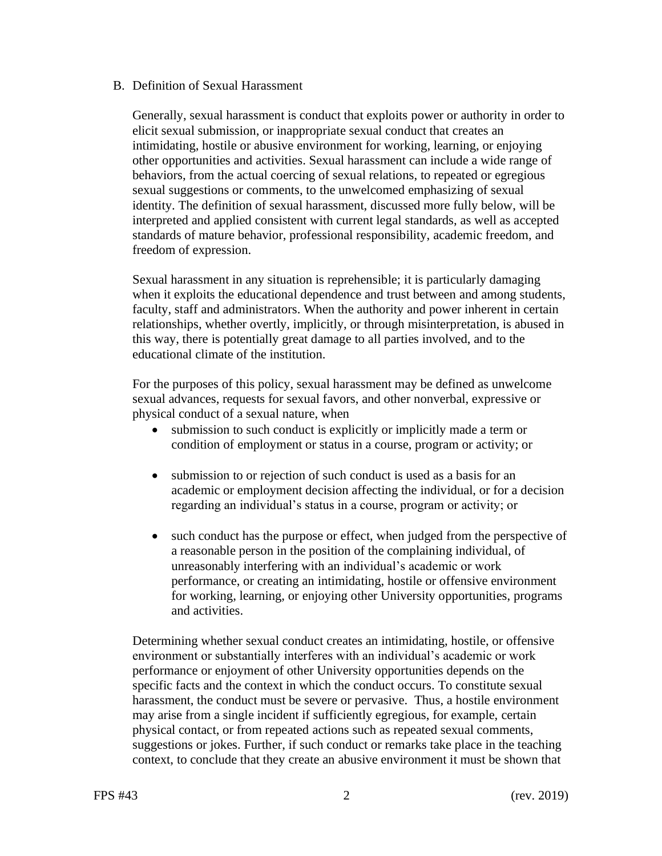### B. Definition of Sexual Harassment

Generally, sexual harassment is conduct that exploits power or authority in order to elicit sexual submission, or inappropriate sexual conduct that creates an intimidating, hostile or abusive environment for working, learning, or enjoying other opportunities and activities. Sexual harassment can include a wide range of behaviors, from the actual coercing of sexual relations, to repeated or egregious sexual suggestions or comments, to the unwelcomed emphasizing of sexual identity. The definition of sexual harassment, discussed more fully below, will be interpreted and applied consistent with current legal standards, as well as accepted standards of mature behavior, professional responsibility, academic freedom, and freedom of expression.

Sexual harassment in any situation is reprehensible; it is particularly damaging when it exploits the educational dependence and trust between and among students, faculty, staff and administrators. When the authority and power inherent in certain relationships, whether overtly, implicitly, or through misinterpretation, is abused in this way, there is potentially great damage to all parties involved, and to the educational climate of the institution.

For the purposes of this policy, sexual harassment may be defined as unwelcome sexual advances, requests for sexual favors, and other nonverbal, expressive or physical conduct of a sexual nature, when

- submission to such conduct is explicitly or implicitly made a term or condition of employment or status in a course, program or activity; or
- submission to or rejection of such conduct is used as a basis for an academic or employment decision affecting the individual, or for a decision regarding an individual's status in a course, program or activity; or
- such conduct has the purpose or effect, when judged from the perspective of a reasonable person in the position of the complaining individual, of unreasonably interfering with an individual's academic or work performance, or creating an intimidating, hostile or offensive environment for working, learning, or enjoying other University opportunities, programs and activities.

Determining whether sexual conduct creates an intimidating, hostile, or offensive environment or substantially interferes with an individual's academic or work performance or enjoyment of other University opportunities depends on the specific facts and the context in which the conduct occurs. To constitute sexual harassment, the conduct must be severe or pervasive. Thus, a hostile environment may arise from a single incident if sufficiently egregious, for example, certain physical contact, or from repeated actions such as repeated sexual comments, suggestions or jokes. Further, if such conduct or remarks take place in the teaching context, to conclude that they create an abusive environment it must be shown that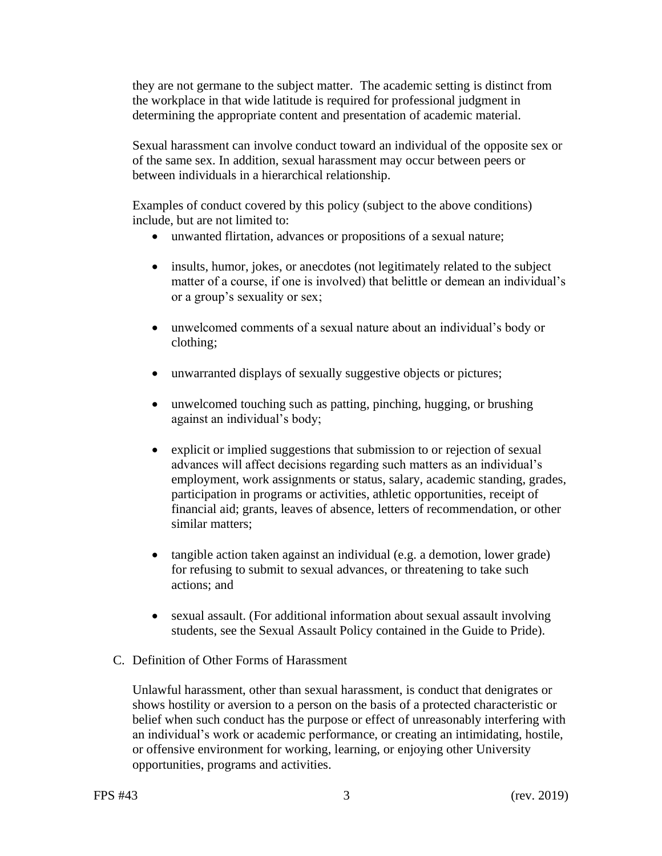they are not germane to the subject matter. The academic setting is distinct from the workplace in that wide latitude is required for professional judgment in determining the appropriate content and presentation of academic material.

Sexual harassment can involve conduct toward an individual of the opposite sex or of the same sex. In addition, sexual harassment may occur between peers or between individuals in a hierarchical relationship.

Examples of conduct covered by this policy (subject to the above conditions) include, but are not limited to:

- unwanted flirtation, advances or propositions of a sexual nature;
- insults, humor, jokes, or anecdotes (not legitimately related to the subject matter of a course, if one is involved) that belittle or demean an individual's or a group's sexuality or sex;
- unwelcomed comments of a sexual nature about an individual's body or clothing;
- unwarranted displays of sexually suggestive objects or pictures;
- unwelcomed touching such as patting, pinching, hugging, or brushing against an individual's body;
- explicit or implied suggestions that submission to or rejection of sexual advances will affect decisions regarding such matters as an individual's employment, work assignments or status, salary, academic standing, grades, participation in programs or activities, athletic opportunities, receipt of financial aid; grants, leaves of absence, letters of recommendation, or other similar matters;
- for refusing to submit to sexual advances, or threatening to take such • tangible action taken against an individual (e.g. a demotion, lower grade) actions; and
- sexual assault. (For additional information about sexual assault involving students, see the Sexual Assault Policy contained in the Guide to Pride).
- C. Definition of Other Forms of Harassment

Unlawful harassment, other than sexual harassment, is conduct that denigrates or shows hostility or aversion to a person on the basis of a protected characteristic or belief when such conduct has the purpose or effect of unreasonably interfering with an individual's work or academic performance, or creating an intimidating, hostile, or offensive environment for working, learning, or enjoying other University opportunities, programs and activities.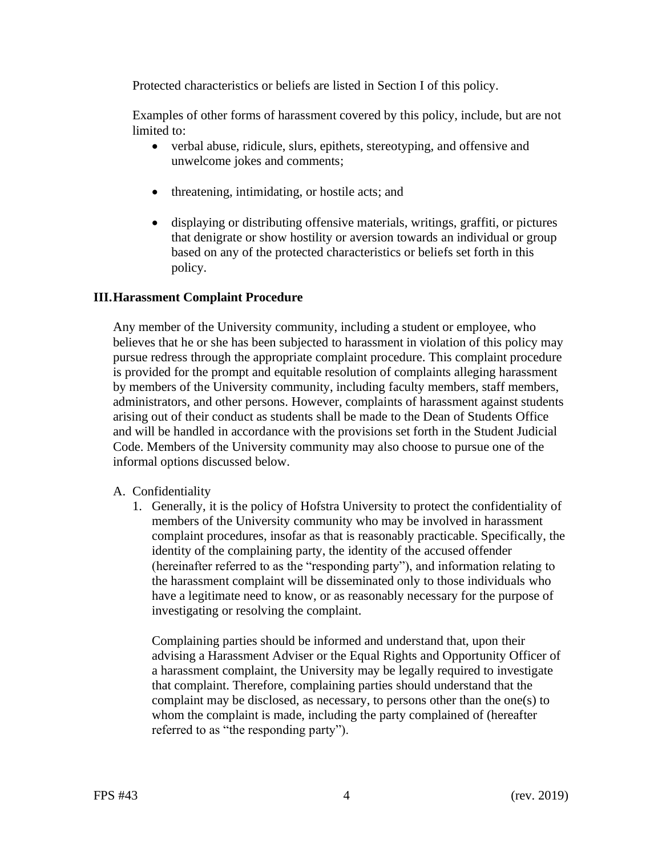Protected characteristics or beliefs are listed in Section I of this policy.

Examples of other forms of harassment covered by this policy, include, but are not limited to:

- verbal abuse, ridicule, slurs, epithets, stereotyping, and offensive and unwelcome jokes and comments;
- threatening, intimidating, or hostile acts; and
- displaying or distributing offensive materials, writings, graffiti, or pictures that denigrate or show hostility or aversion towards an individual or group based on any of the protected characteristics or beliefs set forth in this policy.

# **III.Harassment Complaint Procedure**

Any member of the University community, including a student or employee, who believes that he or she has been subjected to harassment in violation of this policy may pursue redress through the appropriate complaint procedure. This complaint procedure is provided for the prompt and equitable resolution of complaints alleging harassment by members of the University community, including faculty members, staff members, administrators, and other persons. However, complaints of harassment against students arising out of their conduct as students shall be made to the Dean of Students Office and will be handled in accordance with the provisions set forth in the Student Judicial Code. Members of the University community may also choose to pursue one of the informal options discussed below.

# A. Confidentiality

1. Generally, it is the policy of Hofstra University to protect the confidentiality of members of the University community who may be involved in harassment complaint procedures, insofar as that is reasonably practicable. Specifically, the identity of the complaining party, the identity of the accused offender (hereinafter referred to as the "responding party"), and information relating to the harassment complaint will be disseminated only to those individuals who have a legitimate need to know, or as reasonably necessary for the purpose of investigating or resolving the complaint.

Complaining parties should be informed and understand that, upon their advising a Harassment Adviser or the Equal Rights and Opportunity Officer of a harassment complaint, the University may be legally required to investigate that complaint. Therefore, complaining parties should understand that the complaint may be disclosed, as necessary, to persons other than the one(s) to whom the complaint is made, including the party complained of (hereafter referred to as "the responding party").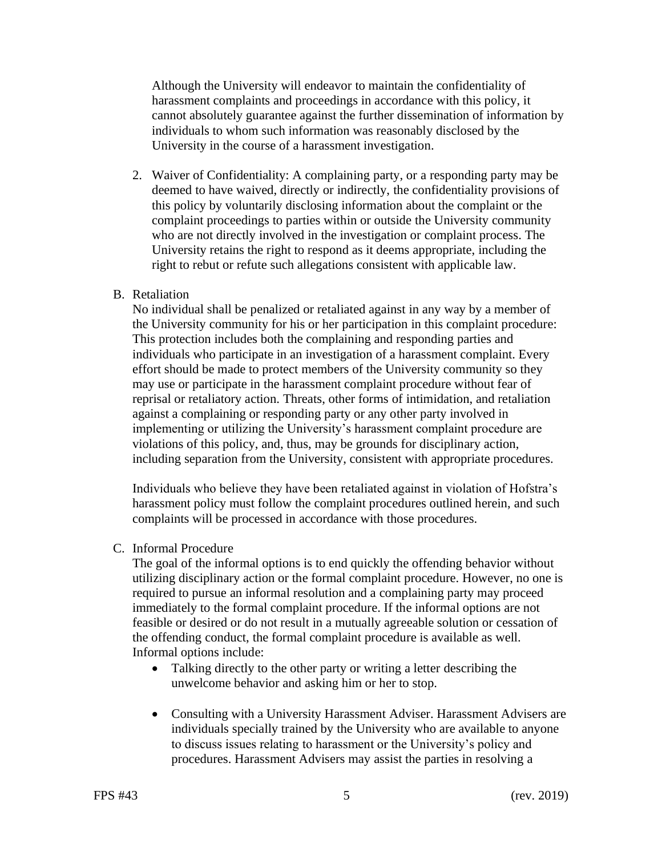Although the University will endeavor to maintain the confidentiality of harassment complaints and proceedings in accordance with this policy, it cannot absolutely guarantee against the further dissemination of information by individuals to whom such information was reasonably disclosed by the University in the course of a harassment investigation.

2. Waiver of Confidentiality: A complaining party, or a responding party may be deemed to have waived, directly or indirectly, the confidentiality provisions of this policy by voluntarily disclosing information about the complaint or the complaint proceedings to parties within or outside the University community who are not directly involved in the investigation or complaint process. The University retains the right to respond as it deems appropriate, including the right to rebut or refute such allegations consistent with applicable law.

### B. Retaliation

No individual shall be penalized or retaliated against in any way by a member of the University community for his or her participation in this complaint procedure: This protection includes both the complaining and responding parties and individuals who participate in an investigation of a harassment complaint. Every effort should be made to protect members of the University community so they may use or participate in the harassment complaint procedure without fear of reprisal or retaliatory action. Threats, other forms of intimidation, and retaliation against a complaining or responding party or any other party involved in implementing or utilizing the University's harassment complaint procedure are violations of this policy, and, thus, may be grounds for disciplinary action, including separation from the University, consistent with appropriate procedures.

Individuals who believe they have been retaliated against in violation of Hofstra's harassment policy must follow the complaint procedures outlined herein, and such complaints will be processed in accordance with those procedures.

### C. Informal Procedure

 utilizing disciplinary action or the formal complaint procedure. However, no one is The goal of the informal options is to end quickly the offending behavior without required to pursue an informal resolution and a complaining party may proceed immediately to the formal complaint procedure. If the informal options are not feasible or desired or do not result in a mutually agreeable solution or cessation of the offending conduct, the formal complaint procedure is available as well. Informal options include:

- Talking directly to the other party or writing a letter describing the unwelcome behavior and asking him or her to stop.
- Consulting with a University Harassment Adviser. Harassment Advisers are individuals specially trained by the University who are available to anyone to discuss issues relating to harassment or the University's policy and procedures. Harassment Advisers may assist the parties in resolving a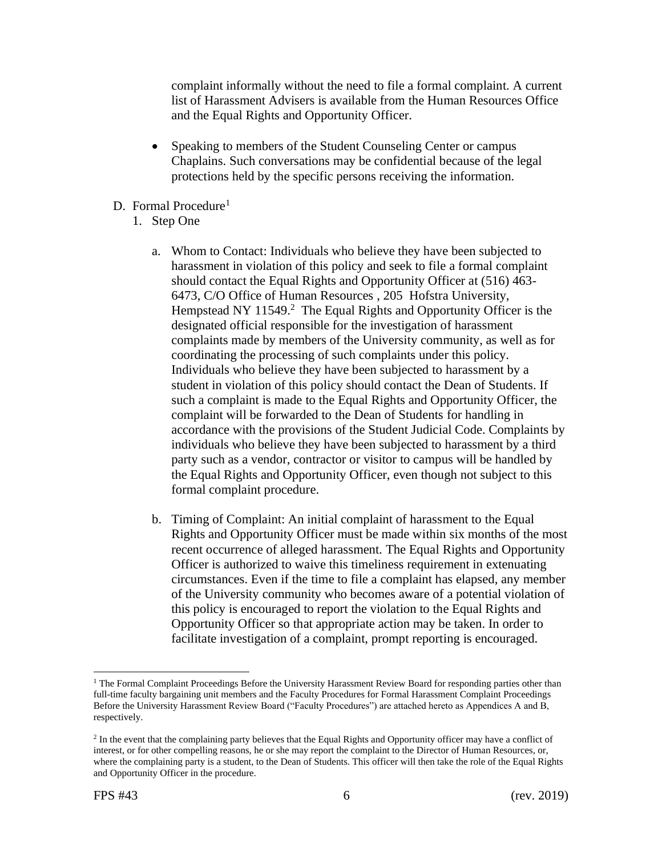complaint informally without the need to file a formal complaint. A current list of Harassment Advisers is available from the Human Resources Office and the Equal Rights and Opportunity Officer.

- Speaking to members of the Student Counseling Center or campus Chaplains. Such conversations may be confidential because of the legal protections held by the specific persons receiving the information.
- D. Formal Procedure<sup>1</sup>
	- 1. Step One
		- harassment in violation of this policy and seek to file a formal complaint Hempstead NY 11549.<sup>2</sup> The Equal Rights and Opportunity Officer is the such a complaint is made to the Equal Rights and Opportunity Officer, the the Equal Rights and Opportunity Officer, even though not subject to this a. Whom to Contact: Individuals who believe they have been subjected to should contact the Equal Rights and Opportunity Officer at (516) 463- 6473, C/O Office of Human Resources , 205 Hofstra University, designated official responsible for the investigation of harassment complaints made by members of the University community, as well as for coordinating the processing of such complaints under this policy. Individuals who believe they have been subjected to harassment by a student in violation of this policy should contact the Dean of Students. If complaint will be forwarded to the Dean of Students for handling in accordance with the provisions of the Student Judicial Code. Complaints by individuals who believe they have been subjected to harassment by a third party such as a vendor, contractor or visitor to campus will be handled by formal complaint procedure.
		- b. Timing of Complaint: An initial complaint of harassment to the Equal Rights and Opportunity Officer must be made within six months of the most recent occurrence of alleged harassment. The Equal Rights and Opportunity Officer is authorized to waive this timeliness requirement in extenuating circumstances. Even if the time to file a complaint has elapsed, any member of the University community who becomes aware of a potential violation of this policy is encouraged to report the violation to the Equal Rights and Opportunity Officer so that appropriate action may be taken. In order to facilitate investigation of a complaint, prompt reporting is encouraged.

<sup>&</sup>lt;sup>1</sup> The Formal Complaint Proceedings Before the University Harassment Review Board for responding parties other than full-time faculty bargaining unit members and the Faculty Procedures for Formal Harassment Complaint Proceedings Before the University Harassment Review Board ("Faculty Procedures") are attached hereto as Appendices A and B, respectively.

<sup>&</sup>lt;sup>2</sup> In the event that the complaining party believes that the Equal Rights and Opportunity officer may have a conflict of interest, or for other compelling reasons, he or she may report the complaint to the Director of Human Resources, or, where the complaining party is a student, to the Dean of Students. This officer will then take the role of the Equal Rights and Opportunity Officer in the procedure.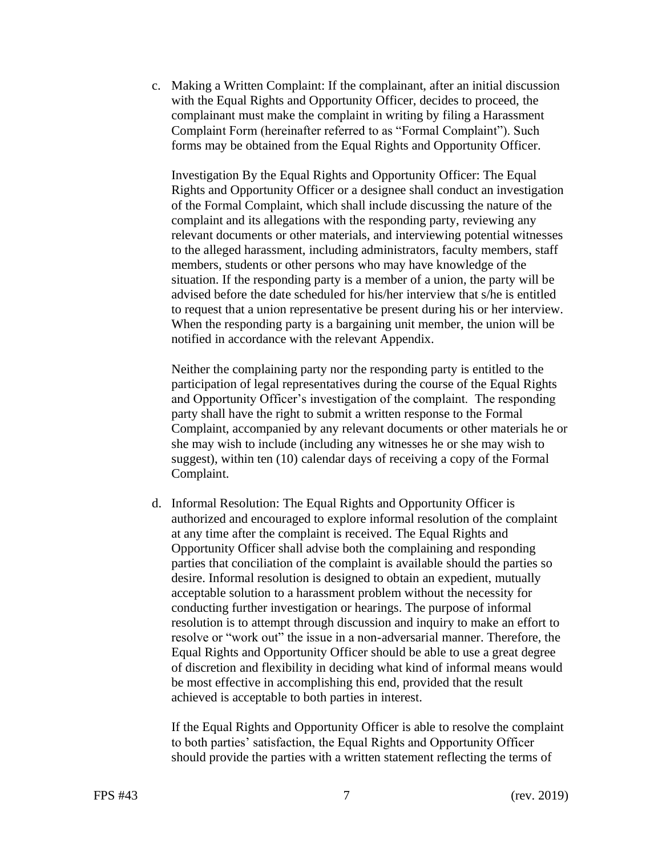c. Making a Written Complaint: If the complainant, after an initial discussion with the Equal Rights and Opportunity Officer, decides to proceed, the complainant must make the complaint in writing by filing a Harassment Complaint Form (hereinafter referred to as "Formal Complaint"). Such forms may be obtained from the Equal Rights and Opportunity Officer.

Investigation By the Equal Rights and Opportunity Officer: The Equal Rights and Opportunity Officer or a designee shall conduct an investigation of the Formal Complaint, which shall include discussing the nature of the complaint and its allegations with the responding party, reviewing any relevant documents or other materials, and interviewing potential witnesses to the alleged harassment, including administrators, faculty members, staff members, students or other persons who may have knowledge of the situation. If the responding party is a member of a union, the party will be advised before the date scheduled for his/her interview that s/he is entitled to request that a union representative be present during his or her interview. When the responding party is a bargaining unit member, the union will be notified in accordance with the relevant Appendix.

 party shall have the right to submit a written response to the Formal suggest), within ten (10) calendar days of receiving a copy of the Formal Neither the complaining party nor the responding party is entitled to the participation of legal representatives during the course of the Equal Rights and Opportunity Officer's investigation of the complaint. The responding Complaint, accompanied by any relevant documents or other materials he or she may wish to include (including any witnesses he or she may wish to Complaint.

 authorized and encouraged to explore informal resolution of the complaint resolution is to attempt through discussion and inquiry to make an effort to d. Informal Resolution: The Equal Rights and Opportunity Officer is at any time after the complaint is received. The Equal Rights and Opportunity Officer shall advise both the complaining and responding parties that conciliation of the complaint is available should the parties so desire. Informal resolution is designed to obtain an expedient, mutually acceptable solution to a harassment problem without the necessity for conducting further investigation or hearings. The purpose of informal resolve or "work out" the issue in a non-adversarial manner. Therefore, the Equal Rights and Opportunity Officer should be able to use a great degree of discretion and flexibility in deciding what kind of informal means would be most effective in accomplishing this end, provided that the result achieved is acceptable to both parties in interest.

 If the Equal Rights and Opportunity Officer is able to resolve the complaint to both parties' satisfaction, the Equal Rights and Opportunity Officer should provide the parties with a written statement reflecting the terms of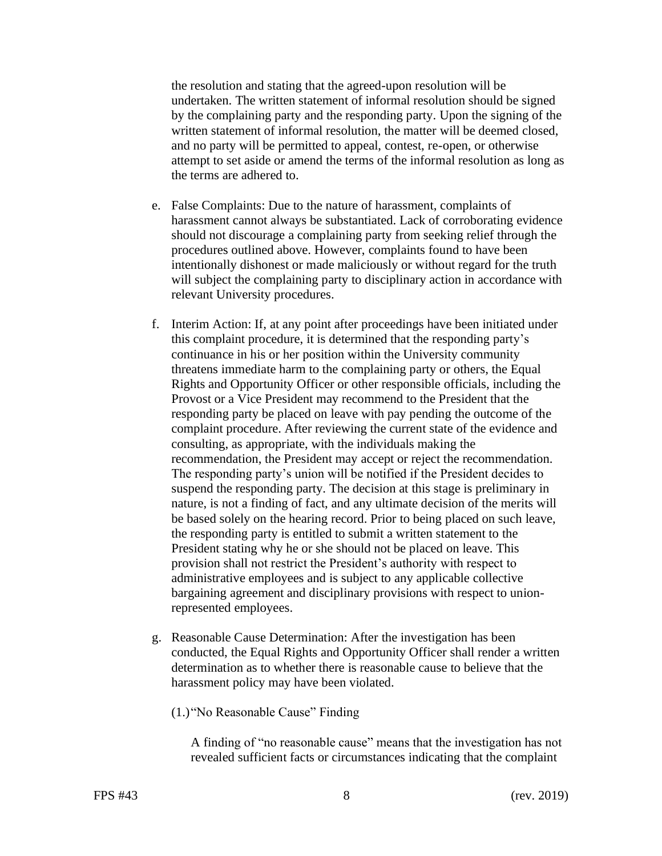the resolution and stating that the agreed-upon resolution will be undertaken. The written statement of informal resolution should be signed by the complaining party and the responding party. Upon the signing of the written statement of informal resolution, the matter will be deemed closed, and no party will be permitted to appeal, contest, re-open, or otherwise attempt to set aside or amend the terms of the informal resolution as long as the terms are adhered to.

- e. False Complaints: Due to the nature of harassment, complaints of harassment cannot always be substantiated. Lack of corroborating evidence should not discourage a complaining party from seeking relief through the procedures outlined above. However, complaints found to have been intentionally dishonest or made maliciously or without regard for the truth will subject the complaining party to disciplinary action in accordance with relevant University procedures.
- threatens immediate harm to the complaining party or others, the Equal administrative employees and is subject to any applicable collective f. Interim Action: If, at any point after proceedings have been initiated under this complaint procedure, it is determined that the responding party's continuance in his or her position within the University community Rights and Opportunity Officer or other responsible officials, including the Provost or a Vice President may recommend to the President that the responding party be placed on leave with pay pending the outcome of the complaint procedure. After reviewing the current state of the evidence and consulting, as appropriate, with the individuals making the recommendation, the President may accept or reject the recommendation. The responding party's union will be notified if the President decides to suspend the responding party. The decision at this stage is preliminary in nature, is not a finding of fact, and any ultimate decision of the merits will be based solely on the hearing record. Prior to being placed on such leave, the responding party is entitled to submit a written statement to the President stating why he or she should not be placed on leave. This provision shall not restrict the President's authority with respect to bargaining agreement and disciplinary provisions with respect to unionrepresented employees.
- g. Reasonable Cause Determination: After the investigation has been conducted, the Equal Rights and Opportunity Officer shall render a written determination as to whether there is reasonable cause to believe that the harassment policy may have been violated.
	- (1.)"No Reasonable Cause" Finding

A finding of "no reasonable cause" means that the investigation has not revealed sufficient facts or circumstances indicating that the complaint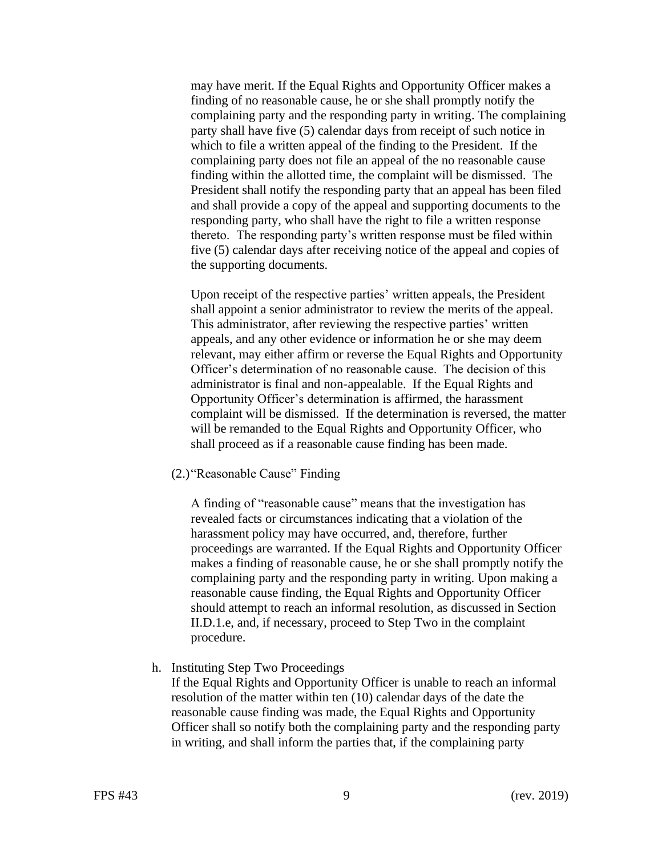complaining party does not file an appeal of the no reasonable cause may have merit. If the Equal Rights and Opportunity Officer makes a finding of no reasonable cause, he or she shall promptly notify the complaining party and the responding party in writing. The complaining party shall have five (5) calendar days from receipt of such notice in which to file a written appeal of the finding to the President. If the finding within the allotted time, the complaint will be dismissed. The President shall notify the responding party that an appeal has been filed and shall provide a copy of the appeal and supporting documents to the responding party, who shall have the right to file a written response thereto. The responding party's written response must be filed within five (5) calendar days after receiving notice of the appeal and copies of the supporting documents.

 Opportunity Officer's determination is affirmed, the harassment Upon receipt of the respective parties' written appeals, the President shall appoint a senior administrator to review the merits of the appeal. This administrator, after reviewing the respective parties' written appeals, and any other evidence or information he or she may deem relevant, may either affirm or reverse the Equal Rights and Opportunity Officer's determination of no reasonable cause. The decision of this administrator is final and non-appealable. If the Equal Rights and complaint will be dismissed. If the determination is reversed, the matter will be remanded to the Equal Rights and Opportunity Officer, who shall proceed as if a reasonable cause finding has been made.

(2.)"Reasonable Cause" Finding

A finding of "reasonable cause" means that the investigation has revealed facts or circumstances indicating that a violation of the harassment policy may have occurred, and, therefore, further proceedings are warranted. If the Equal Rights and Opportunity Officer makes a finding of reasonable cause, he or she shall promptly notify the complaining party and the responding party in writing. Upon making a reasonable cause finding, the Equal Rights and Opportunity Officer should attempt to reach an informal resolution, as discussed in Section II.D.1.e, and, if necessary, proceed to Step Two in the complaint procedure.

#### h. Instituting Step Two Proceedings

If the Equal Rights and Opportunity Officer is unable to reach an informal resolution of the matter within ten (10) calendar days of the date the reasonable cause finding was made, the Equal Rights and Opportunity Officer shall so notify both the complaining party and the responding party in writing, and shall inform the parties that, if the complaining party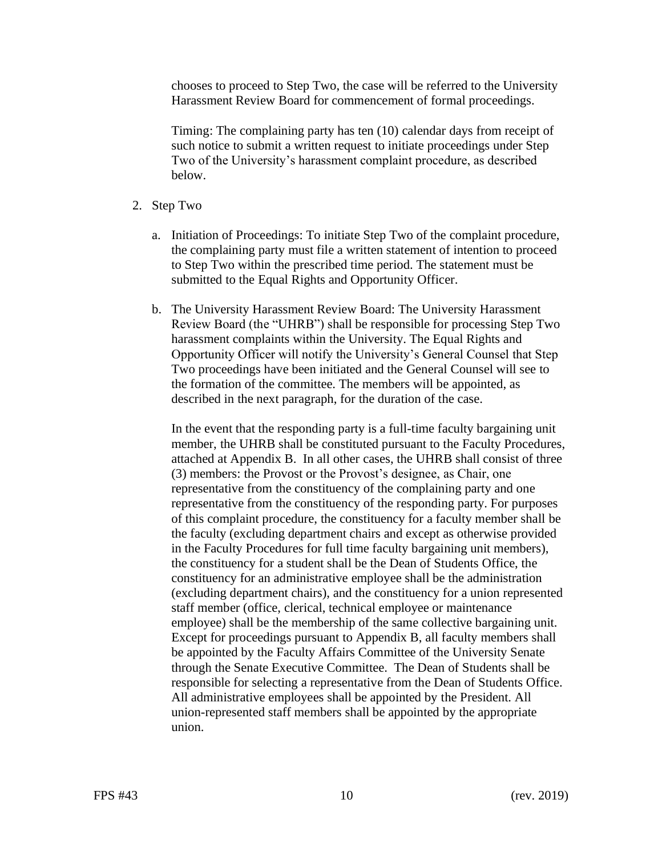chooses to proceed to Step Two, the case will be referred to the University Harassment Review Board for commencement of formal proceedings.

Timing: The complaining party has ten (10) calendar days from receipt of such notice to submit a written request to initiate proceedings under Step Two of the University's harassment complaint procedure, as described below.

- 2. Step Two
	- to Step Two within the prescribed time period. The statement must be a. Initiation of Proceedings: To initiate Step Two of the complaint procedure, the complaining party must file a written statement of intention to proceed submitted to the Equal Rights and Opportunity Officer.
	- b. The University Harassment Review Board: The University Harassment Review Board (the "UHRB") shall be responsible for processing Step Two harassment complaints within the University. The Equal Rights and Opportunity Officer will notify the University's General Counsel that Step Two proceedings have been initiated and the General Counsel will see to the formation of the committee. The members will be appointed, as described in the next paragraph, for the duration of the case.

In the event that the responding party is a full-time faculty bargaining unit member, the UHRB shall be constituted pursuant to the Faculty Procedures, attached at Appendix B. In all other cases, the UHRB shall consist of three (3) members: the Provost or the Provost's designee, as Chair, one representative from the constituency of the complaining party and one representative from the constituency of the responding party. For purposes of this complaint procedure, the constituency for a faculty member shall be the faculty (excluding department chairs and except as otherwise provided in the Faculty Procedures for full time faculty bargaining unit members), the constituency for a student shall be the Dean of Students Office, the constituency for an administrative employee shall be the administration (excluding department chairs), and the constituency for a union represented staff member (office, clerical, technical employee or maintenance employee) shall be the membership of the same collective bargaining unit. Except for proceedings pursuant to Appendix B, all faculty members shall be appointed by the Faculty Affairs Committee of the University Senate through the Senate Executive Committee. The Dean of Students shall be responsible for selecting a representative from the Dean of Students Office. All administrative employees shall be appointed by the President. All union-represented staff members shall be appointed by the appropriate union.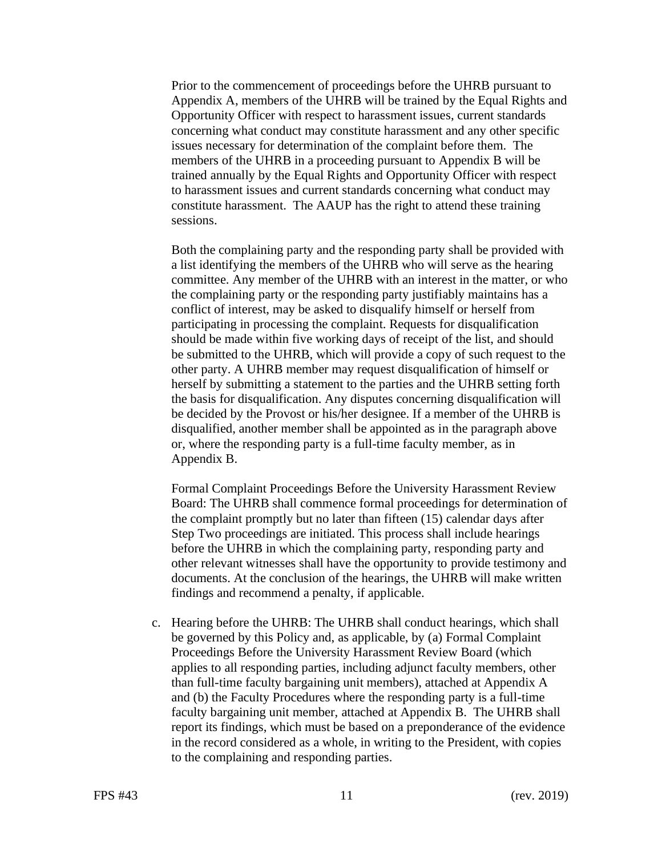Prior to the commencement of proceedings before the UHRB pursuant to Appendix A, members of the UHRB will be trained by the Equal Rights and Opportunity Officer with respect to harassment issues, current standards concerning what conduct may constitute harassment and any other specific issues necessary for determination of the complaint before them. The members of the UHRB in a proceeding pursuant to Appendix B will be trained annually by the Equal Rights and Opportunity Officer with respect to harassment issues and current standards concerning what conduct may constitute harassment. The AAUP has the right to attend these training sessions.

Both the complaining party and the responding party shall be provided with a list identifying the members of the UHRB who will serve as the hearing committee. Any member of the UHRB with an interest in the matter, or who the complaining party or the responding party justifiably maintains has a conflict of interest, may be asked to disqualify himself or herself from participating in processing the complaint. Requests for disqualification should be made within five working days of receipt of the list, and should be submitted to the UHRB, which will provide a copy of such request to the other party. A UHRB member may request disqualification of himself or herself by submitting a statement to the parties and the UHRB setting forth the basis for disqualification. Any disputes concerning disqualification will be decided by the Provost or his/her designee. If a member of the UHRB is disqualified, another member shall be appointed as in the paragraph above or, where the responding party is a full-time faculty member, as in Appendix B.

Formal Complaint Proceedings Before the University Harassment Review Board: The UHRB shall commence formal proceedings for determination of the complaint promptly but no later than fifteen (15) calendar days after Step Two proceedings are initiated. This process shall include hearings before the UHRB in which the complaining party, responding party and other relevant witnesses shall have the opportunity to provide testimony and documents. At the conclusion of the hearings, the UHRB will make written findings and recommend a penalty, if applicable.

c. Hearing before the UHRB: The UHRB shall conduct hearings, which shall be governed by this Policy and, as applicable, by (a) Formal Complaint Proceedings Before the University Harassment Review Board (which applies to all responding parties, including adjunct faculty members, other than full-time faculty bargaining unit members), attached at Appendix A and (b) the Faculty Procedures where the responding party is a full-time faculty bargaining unit member, attached at Appendix B. The UHRB shall report its findings, which must be based on a preponderance of the evidence in the record considered as a whole, in writing to the President, with copies to the complaining and responding parties.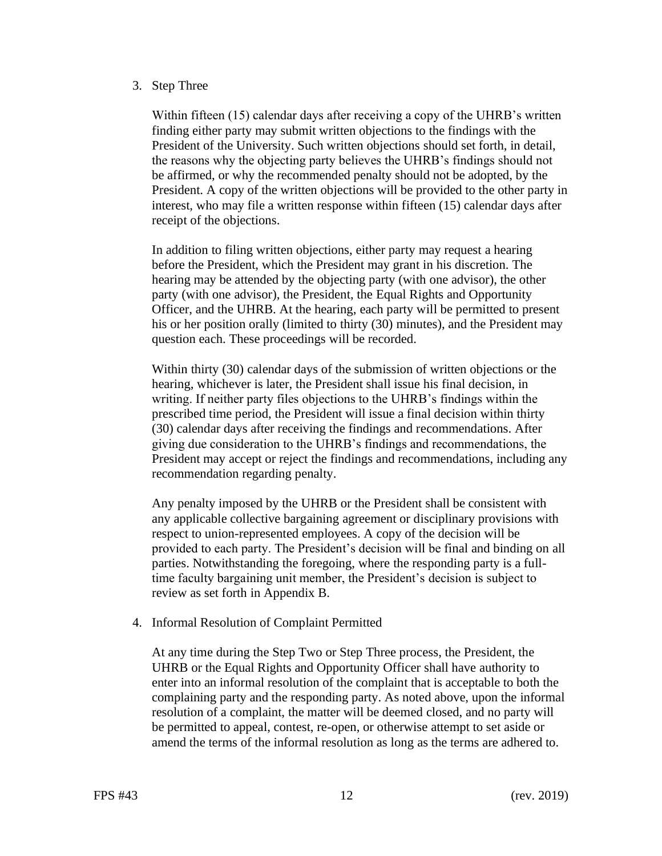### 3. Step Three

Within fifteen (15) calendar days after receiving a copy of the UHRB's written finding either party may submit written objections to the findings with the President of the University. Such written objections should set forth, in detail, the reasons why the objecting party believes the UHRB's findings should not be affirmed, or why the recommended penalty should not be adopted, by the President. A copy of the written objections will be provided to the other party in interest, who may file a written response within fifteen (15) calendar days after receipt of the objections.

In addition to filing written objections, either party may request a hearing before the President, which the President may grant in his discretion. The hearing may be attended by the objecting party (with one advisor), the other party (with one advisor), the President, the Equal Rights and Opportunity Officer, and the UHRB. At the hearing, each party will be permitted to present his or her position orally (limited to thirty (30) minutes), and the President may question each. These proceedings will be recorded.

Within thirty (30) calendar days of the submission of written objections or the hearing, whichever is later, the President shall issue his final decision, in writing. If neither party files objections to the UHRB's findings within the prescribed time period, the President will issue a final decision within thirty (30) calendar days after receiving the findings and recommendations. After giving due consideration to the UHRB's findings and recommendations, the President may accept or reject the findings and recommendations, including any recommendation regarding penalty.

Any penalty imposed by the UHRB or the President shall be consistent with any applicable collective bargaining agreement or disciplinary provisions with respect to union-represented employees. A copy of the decision will be provided to each party. The President's decision will be final and binding on all parties. Notwithstanding the foregoing, where the responding party is a fulltime faculty bargaining unit member, the President's decision is subject to review as set forth in Appendix B.

4. Informal Resolution of Complaint Permitted

 complaining party and the responding party. As noted above, upon the informal At any time during the Step Two or Step Three process, the President, the UHRB or the Equal Rights and Opportunity Officer shall have authority to enter into an informal resolution of the complaint that is acceptable to both the resolution of a complaint, the matter will be deemed closed, and no party will be permitted to appeal, contest, re-open, or otherwise attempt to set aside or amend the terms of the informal resolution as long as the terms are adhered to.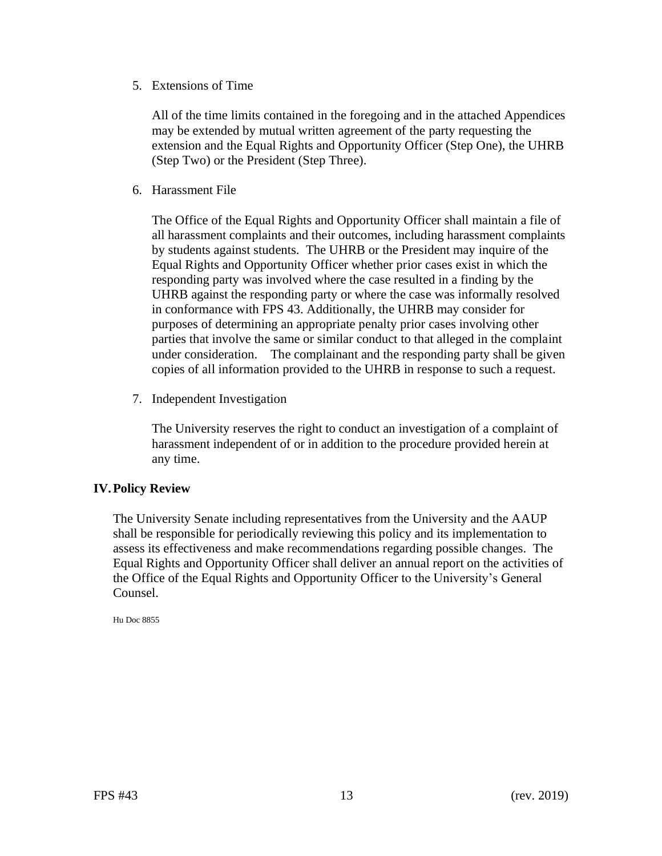5. Extensions of Time

All of the time limits contained in the foregoing and in the attached Appendices may be extended by mutual written agreement of the party requesting the extension and the Equal Rights and Opportunity Officer (Step One), the UHRB (Step Two) or the President (Step Three).

6. Harassment File

 all harassment complaints and their outcomes, including harassment complaints The Office of the Equal Rights and Opportunity Officer shall maintain a file of by students against students. The UHRB or the President may inquire of the Equal Rights and Opportunity Officer whether prior cases exist in which the responding party was involved where the case resulted in a finding by the UHRB against the responding party or where the case was informally resolved in conformance with FPS 43. Additionally, the UHRB may consider for purposes of determining an appropriate penalty prior cases involving other parties that involve the same or similar conduct to that alleged in the complaint under consideration. The complainant and the responding party shall be given copies of all information provided to the UHRB in response to such a request.

7. Independent Investigation

The University reserves the right to conduct an investigation of a complaint of harassment independent of or in addition to the procedure provided herein at any time.

# **IV. Policy Review**

The University Senate including representatives from the University and the AAUP shall be responsible for periodically reviewing this policy and its implementation to assess its effectiveness and make recommendations regarding possible changes. The Equal Rights and Opportunity Officer shall deliver an annual report on the activities of the Office of the Equal Rights and Opportunity Officer to the University's General Counsel.

Hu Doc 8855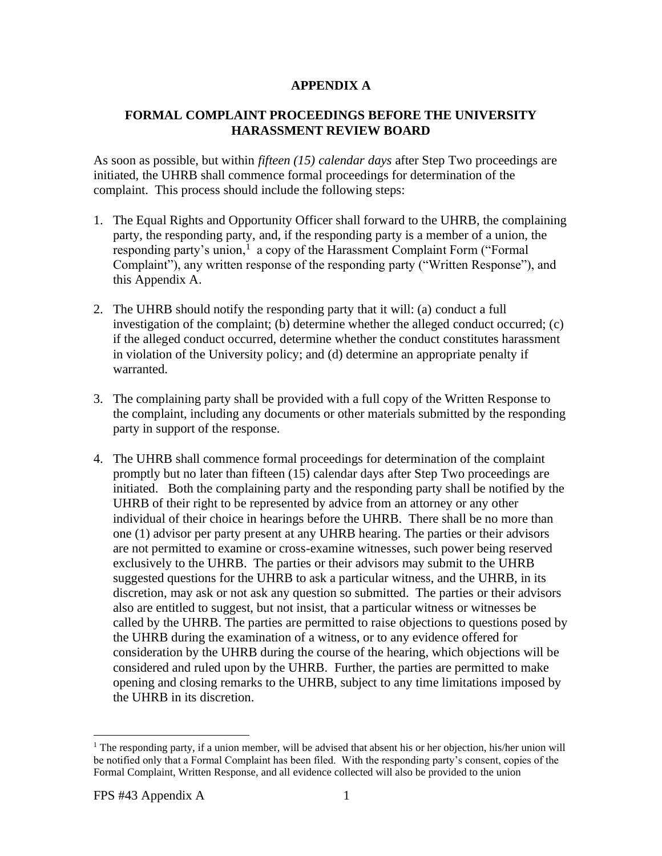# **APPENDIX A**

# **FORMAL COMPLAINT PROCEEDINGS BEFORE THE UNIVERSITY HARASSMENT REVIEW BOARD**

 As soon as possible, but within *fifteen (15) calendar days* after Step Two proceedings are initiated, the UHRB shall commence formal proceedings for determination of the complaint. This process should include the following steps:

- responding party's union,<sup>1</sup> a copy of the Harassment Complaint Form ("Formal 1. The Equal Rights and Opportunity Officer shall forward to the UHRB, the complaining party, the responding party, and, if the responding party is a member of a union, the Complaint"), any written response of the responding party ("Written Response"), and this Appendix A.
- 2. The UHRB should notify the responding party that it will: (a) conduct a full investigation of the complaint; (b) determine whether the alleged conduct occurred;  $(c)$ if the alleged conduct occurred, determine whether the conduct constitutes harassment in violation of the University policy; and (d) determine an appropriate penalty if warranted.
- 3. The complaining party shall be provided with a full copy of the Written Response to the complaint, including any documents or other materials submitted by the responding party in support of the response.
- 4. The UHRB shall commence formal proceedings for determination of the complaint promptly but no later than fifteen (15) calendar days after Step Two proceedings are initiated. Both the complaining party and the responding party shall be notified by the UHRB of their right to be represented by advice from an attorney or any other individual of their choice in hearings before the UHRB. There shall be no more than one (1) advisor per party present at any UHRB hearing. The parties or their advisors are not permitted to examine or cross-examine witnesses, such power being reserved exclusively to the UHRB. The parties or their advisors may submit to the UHRB suggested questions for the UHRB to ask a particular witness, and the UHRB, in its discretion, may ask or not ask any question so submitted. The parties or their advisors also are entitled to suggest, but not insist, that a particular witness or witnesses be called by the UHRB. The parties are permitted to raise objections to questions posed by the UHRB during the examination of a witness, or to any evidence offered for consideration by the UHRB during the course of the hearing, which objections will be considered and ruled upon by the UHRB. Further, the parties are permitted to make opening and closing remarks to the UHRB, subject to any time limitations imposed by the UHRB in its discretion.

<sup>&</sup>lt;sup>1</sup> The responding party, if a union member, will be advised that absent his or her objection, his/her union will be notified only that a Formal Complaint has been filed. With the responding party's consent, copies of the Formal Complaint, Written Response, and all evidence collected will also be provided to the union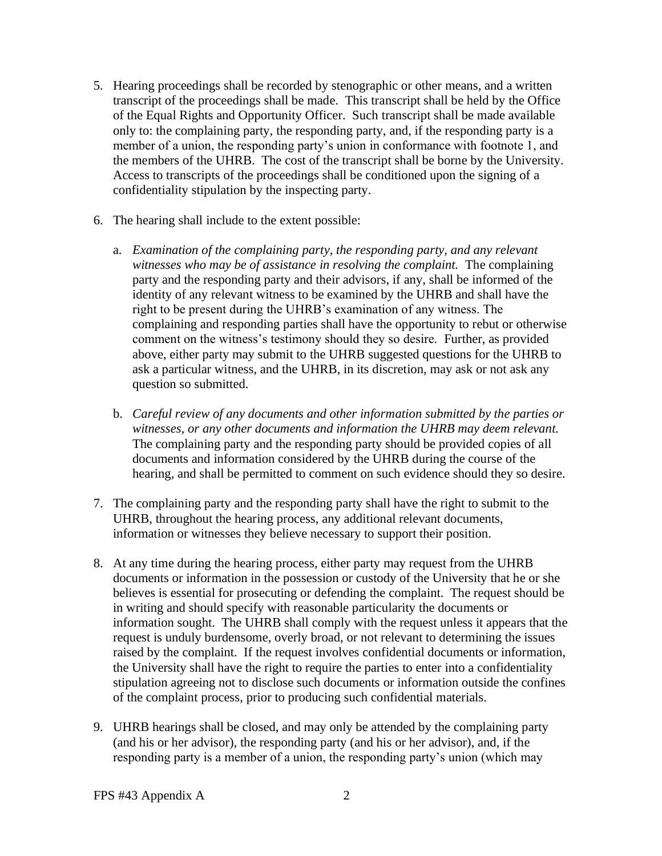- 5. Hearing proceedings shall be recorded by stenographic or other means, and a written transcript of the proceedings shall be made. This transcript shall be held by the Office of the Equal Rights and Opportunity Officer. Such transcript shall be made available only to: the complaining party, the responding party, and, if the responding party is a member of a union, the responding party's union in conformance with footnote 1, and the members of the UHRB. The cost of the transcript shall be borne by the University. Access to transcripts of the proceedings shall be conditioned upon the signing of a confidentiality stipulation by the inspecting party.
- 6. The hearing shall include to the extent possible:
	- *witnesses who may be of assistance in resolving the complaint.* The complaining identity of any relevant witness to be examined by the UHRB and shall have the comment on the witness's testimony should they so desire. Further, as provided a. *Examination of the complaining party, the responding party, and any relevant*  party and the responding party and their advisors, if any, shall be informed of the right to be present during the UHRB's examination of any witness. The complaining and responding parties shall have the opportunity to rebut or otherwise above, either party may submit to the UHRB suggested questions for the UHRB to ask a particular witness, and the UHRB, in its discretion, may ask or not ask any question so submitted.
	- *witnesses, or any other documents and information the UHRB may deem relevant.*  b. *Careful review of any documents and other information submitted by the parties or*  The complaining party and the responding party should be provided copies of all documents and information considered by the UHRB during the course of the hearing, and shall be permitted to comment on such evidence should they so desire.
- 7. The complaining party and the responding party shall have the right to submit to the UHRB, throughout the hearing process, any additional relevant documents, information or witnesses they believe necessary to support their position.
- stipulation agreeing not to disclose such documents or information outside the confines 8. At any time during the hearing process, either party may request from the UHRB documents or information in the possession or custody of the University that he or she believes is essential for prosecuting or defending the complaint. The request should be in writing and should specify with reasonable particularity the documents or information sought. The UHRB shall comply with the request unless it appears that the request is unduly burdensome, overly broad, or not relevant to determining the issues raised by the complaint. If the request involves confidential documents or information, the University shall have the right to require the parties to enter into a confidentiality of the complaint process, prior to producing such confidential materials.
- 9. UHRB hearings shall be closed, and may only be attended by the complaining party (and his or her advisor), the responding party (and his or her advisor), and, if the responding party is a member of a union, the responding party's union (which may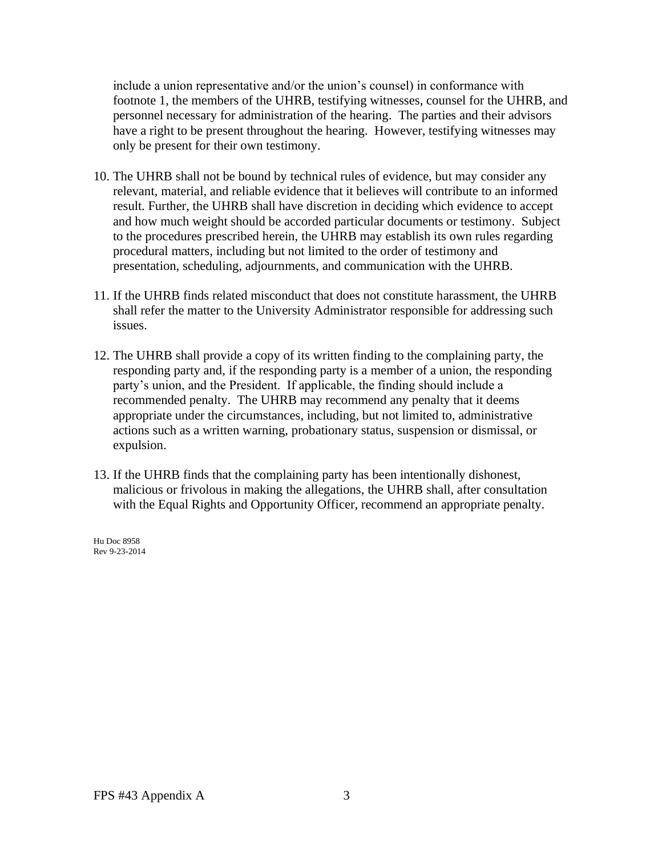include a union representative and/or the union's counsel) in conformance with footnote 1, the members of the UHRB, testifying witnesses, counsel for the UHRB, and personnel necessary for administration of the hearing. The parties and their advisors have a right to be present throughout the hearing. However, testifying witnesses may only be present for their own testimony.

- 10. The UHRB shall not be bound by technical rules of evidence, but may consider any relevant, material, and reliable evidence that it believes will contribute to an informed result. Further, the UHRB shall have discretion in deciding which evidence to accept and how much weight should be accorded particular documents or testimony. Subject to the procedures prescribed herein, the UHRB may establish its own rules regarding procedural matters, including but not limited to the order of testimony and presentation, scheduling, adjournments, and communication with the UHRB.
- 11. If the UHRB finds related misconduct that does not constitute harassment, the UHRB shall refer the matter to the University Administrator responsible for addressing such issues.
- 12. The UHRB shall provide a copy of its written finding to the complaining party, the responding party and, if the responding party is a member of a union, the responding party's union, and the President. If applicable, the finding should include a recommended penalty. The UHRB may recommend any penalty that it deems appropriate under the circumstances, including, but not limited to, administrative actions such as a written warning, probationary status, suspension or dismissal, or expulsion.
- 13. If the UHRB finds that the complaining party has been intentionally dishonest, malicious or frivolous in making the allegations, the UHRB shall, after consultation with the Equal Rights and Opportunity Officer, recommend an appropriate penalty.

Hu Doc 8958 Rev 9-23-2014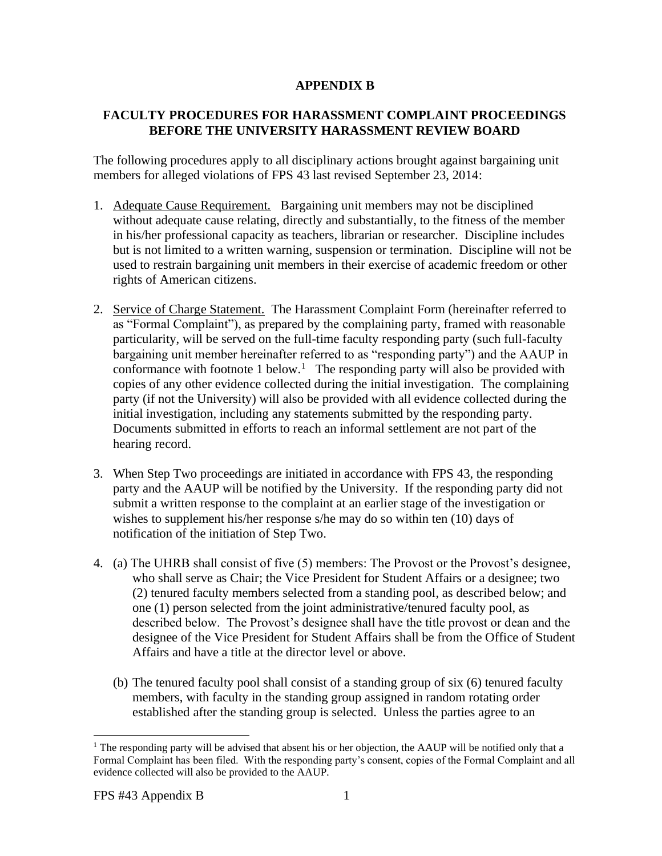# **APPENDIX B**

### **FACULTY PROCEDURES FOR HARASSMENT COMPLAINT PROCEEDINGS BEFORE THE UNIVERSITY HARASSMENT REVIEW BOARD**

The following procedures apply to all disciplinary actions brought against bargaining unit members for alleged violations of FPS 43 last revised September 23, 2014:

- 1. Adequate Cause Requirement. Bargaining unit members may not be disciplined in his/her professional capacity as teachers, librarian or researcher. Discipline includes without adequate cause relating, directly and substantially, to the fitness of the member but is not limited to a written warning, suspension or termination. Discipline will not be used to restrain bargaining unit members in their exercise of academic freedom or other rights of American citizens.
- 2. Service of Charge Statement. The Harassment Complaint Form (hereinafter referred to conformance with footnote 1 below.<sup>1</sup> The responding party will also be provided with Documents submitted in efforts to reach an informal settlement are not part of the as "Formal Complaint"), as prepared by the complaining party, framed with reasonable particularity, will be served on the full-time faculty responding party (such full-faculty bargaining unit member hereinafter referred to as "responding party") and the AAUP in copies of any other evidence collected during the initial investigation. The complaining party (if not the University) will also be provided with all evidence collected during the initial investigation, including any statements submitted by the responding party. hearing record.
- 3. When Step Two proceedings are initiated in accordance with FPS 43, the responding party and the AAUP will be notified by the University. If the responding party did not submit a written response to the complaint at an earlier stage of the investigation or wishes to supplement his/her response s/he may do so within ten (10) days of notification of the initiation of Step Two.
- 4. (a) The UHRB shall consist of five (5) members: The Provost or the Provost's designee, who shall serve as Chair; the Vice President for Student Affairs or a designee; two (2) tenured faculty members selected from a standing pool, as described below; and one (1) person selected from the joint administrative/tenured faculty pool, as described below. The Provost's designee shall have the title provost or dean and the designee of the Vice President for Student Affairs shall be from the Office of Student Affairs and have a title at the director level or above.
	- (b) The tenured faculty pool shall consist of a standing group of six (6) tenured faculty members, with faculty in the standing group assigned in random rotating order established after the standing group is selected. Unless the parties agree to an

<sup>&</sup>lt;sup>1</sup> The responding party will be advised that absent his or her objection, the AAUP will be notified only that a Formal Complaint has been filed. With the responding party's consent, copies of the Formal Complaint and all evidence collected will also be provided to the AAUP.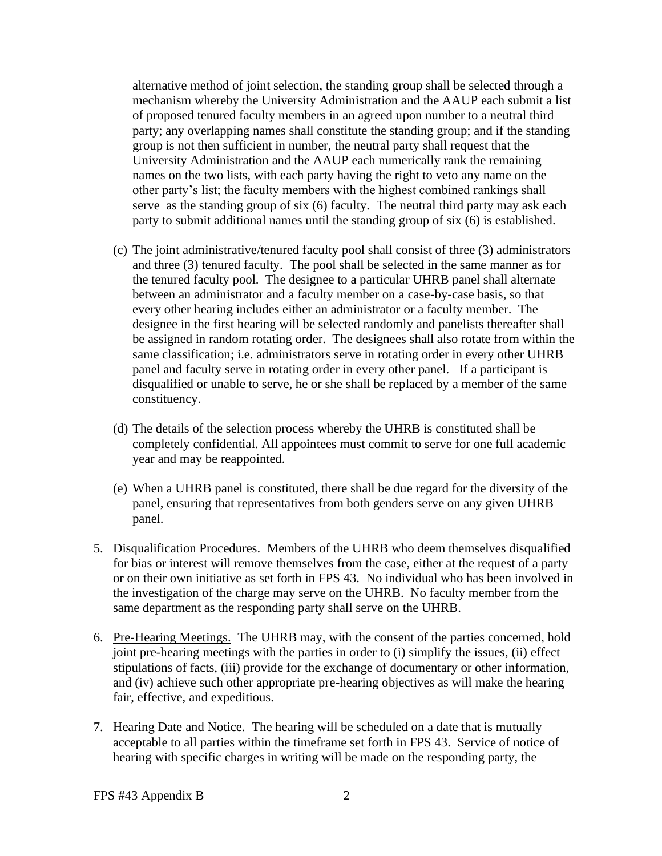mechanism whereby the University Administration and the AAUP each submit a list serve as the standing group of six (6) faculty. The neutral third party may ask each alternative method of joint selection, the standing group shall be selected through a of proposed tenured faculty members in an agreed upon number to a neutral third party; any overlapping names shall constitute the standing group; and if the standing group is not then sufficient in number, the neutral party shall request that the University Administration and the AAUP each numerically rank the remaining names on the two lists, with each party having the right to veto any name on the other party's list; the faculty members with the highest combined rankings shall party to submit additional names until the standing group of six (6) is established.

- (c) The joint administrative/tenured faculty pool shall consist of three (3) administrators and three (3) tenured faculty. The pool shall be selected in the same manner as for the tenured faculty pool. The designee to a particular UHRB panel shall alternate between an administrator and a faculty member on a case-by-case basis, so that every other hearing includes either an administrator or a faculty member. The designee in the first hearing will be selected randomly and panelists thereafter shall be assigned in random rotating order. The designees shall also rotate from within the same classification; i.e. administrators serve in rotating order in every other UHRB panel and faculty serve in rotating order in every other panel. If a participant is disqualified or unable to serve, he or she shall be replaced by a member of the same constituency.
- (d) The details of the selection process whereby the UHRB is constituted shall be completely confidential. All appointees must commit to serve for one full academic year and may be reappointed.
- (e) When a UHRB panel is constituted, there shall be due regard for the diversity of the panel, ensuring that representatives from both genders serve on any given UHRB panel.
- 5. Disqualification Procedures. Members of the UHRB who deem themselves disqualified for bias or interest will remove themselves from the case, either at the request of a party or on their own initiative as set forth in FPS 43. No individual who has been involved in the investigation of the charge may serve on the UHRB. No faculty member from the same department as the responding party shall serve on the UHRB.
- 6. Pre-Hearing Meetings. The UHRB may, with the consent of the parties concerned, hold and (iv) achieve such other appropriate pre-hearing objectives as will make the hearing joint pre-hearing meetings with the parties in order to (i) simplify the issues, (ii) effect stipulations of facts, (iii) provide for the exchange of documentary or other information, fair, effective, and expeditious.
- 7. Hearing Date and Notice. The hearing will be scheduled on a date that is mutually acceptable to all parties within the timeframe set forth in FPS 43. Service of notice of hearing with specific charges in writing will be made on the responding party, the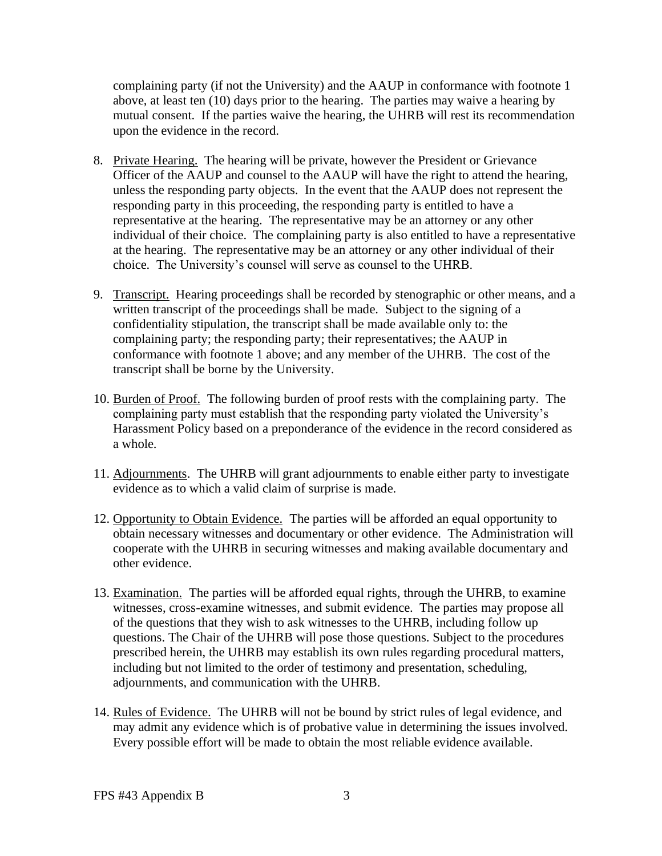above, at least ten (10) days prior to the hearing. The parties may waive a hearing by complaining party (if not the University) and the AAUP in conformance with footnote 1 mutual consent. If the parties waive the hearing, the UHRB will rest its recommendation upon the evidence in the record.

- 8. Private Hearing. The hearing will be private, however the President or Grievance Officer of the AAUP and counsel to the AAUP will have the right to attend the hearing, unless the responding party objects. In the event that the AAUP does not represent the responding party in this proceeding, the responding party is entitled to have a representative at the hearing. The representative may be an attorney or any other individual of their choice. The complaining party is also entitled to have a representative at the hearing. The representative may be an attorney or any other individual of their choice. The University's counsel will serve as counsel to the UHRB.
- 9. Transcript. Hearing proceedings shall be recorded by stenographic or other means, and a written transcript of the proceedings shall be made. Subject to the signing of a confidentiality stipulation, the transcript shall be made available only to: the complaining party; the responding party; their representatives; the AAUP in conformance with footnote 1 above; and any member of the UHRB. The cost of the transcript shall be borne by the University.
- 10. Burden of Proof. The following burden of proof rests with the complaining party. The complaining party must establish that the responding party violated the University's Harassment Policy based on a preponderance of the evidence in the record considered as a whole.
- 11. Adjournments. The UHRB will grant adjournments to enable either party to investigate evidence as to which a valid claim of surprise is made.
- 12. Opportunity to Obtain Evidence. The parties will be afforded an equal opportunity to obtain necessary witnesses and documentary or other evidence. The Administration will cooperate with the UHRB in securing witnesses and making available documentary and other evidence.
- 13. Examination. The parties will be afforded equal rights, through the UHRB, to examine witnesses, cross-examine witnesses, and submit evidence. The parties may propose all of the questions that they wish to ask witnesses to the UHRB, including follow up questions. The Chair of the UHRB will pose those questions. Subject to the procedures prescribed herein, the UHRB may establish its own rules regarding procedural matters, including but not limited to the order of testimony and presentation, scheduling, adjournments, and communication with the UHRB.
- 14. Rules of Evidence. The UHRB will not be bound by strict rules of legal evidence, and Every possible effort will be made to obtain the most reliable evidence available. may admit any evidence which is of probative value in determining the issues involved.